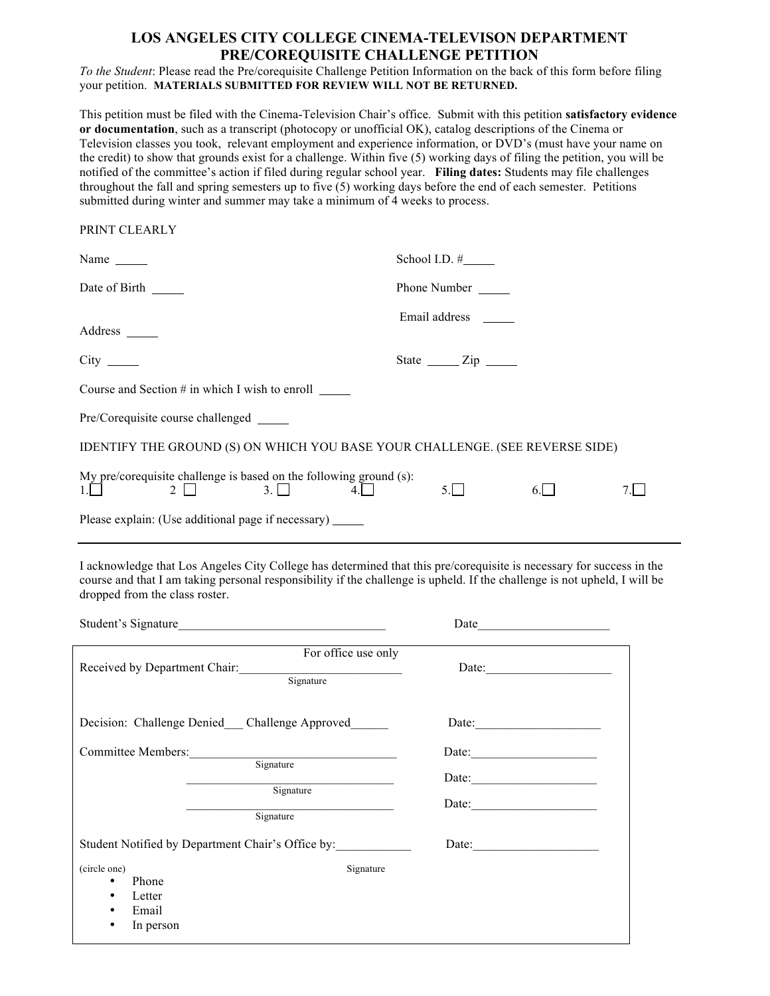## **LOS ANGELES CITY COLLEGE CINEMA-TELEVISON DEPARTMENT PRE/COREQUISITE CHALLENGE PETITION**

*To the Student*: Please read the Pre/corequisite Challenge Petition Information on the back of this form before filing your petition. **MATERIALS SUBMITTED FOR REVIEW WILL NOT BE RETURNED.**

This petition must be filed with the Cinema-Television Chair's office. Submit with this petition **satisfactory evidence or documentation**, such as a transcript (photocopy or unofficial OK), catalog descriptions of the Cinema or Television classes you took, relevant employment and experience information, or DVD's (must have your name on the credit) to show that grounds exist for a challenge. Within five (5) working days of filing the petition, you will be notified of the committee's action if filed during regular school year. **Filing dates:** Students may file challenges throughout the fall and spring semesters up to five (5) working days before the end of each semester. Petitions submitted during winter and summer may take a minimum of 4 weeks to process.

PRINT CLEARLY

|                                                                                                          | School I.D. $\#$                     |  |  |
|----------------------------------------------------------------------------------------------------------|--------------------------------------|--|--|
| Date of Birth                                                                                            | Phone Number                         |  |  |
| Address ______                                                                                           | Email address                        |  |  |
|                                                                                                          | State $\frac{\text{Zip}}{\text{Up}}$ |  |  |
| Course and Section $#$ in which I wish to enroll $\qquad \qquad$                                         |                                      |  |  |
| Pre/Corequisite course challenged ________                                                               |                                      |  |  |
| IDENTIFY THE GROUND (S) ON WHICH YOU BASE YOUR CHALLENGE. (SEE REVERSE SIDE)                             |                                      |  |  |
| My pre/corequisite challenge is based on the following ground (s):<br>$1.\Box$ $2\Box$ $3.\Box$ $4.\Box$ | 5.I I<br>$6.1-1$                     |  |  |
| Please explain: (Use additional page if necessary)                                                       |                                      |  |  |

I acknowledge that Los Angeles City College has determined that this pre/corequisite is necessary for success in the course and that I am taking personal responsibility if the challenge is upheld. If the challenge is not upheld, I will be dropped from the class roster.

| Student's Signature                                                                                                       |                                         |
|---------------------------------------------------------------------------------------------------------------------------|-----------------------------------------|
| For office use only<br>Received by Department Chair:<br>Signature                                                         | Date:                                   |
| Decision: Challenge Denied Challenge Approved                                                                             | Date:                                   |
| Committee Members: Signature<br>Signature<br>Signature                                                                    | Date:<br>Date:<br>Date: $\qquad \qquad$ |
| Student Notified by Department Chair's Office by:<br>(circle one)<br>Phone<br>٠<br>Letter<br>٠<br>Email<br>٠<br>In person | Date: $\qquad \qquad$<br>Signature      |